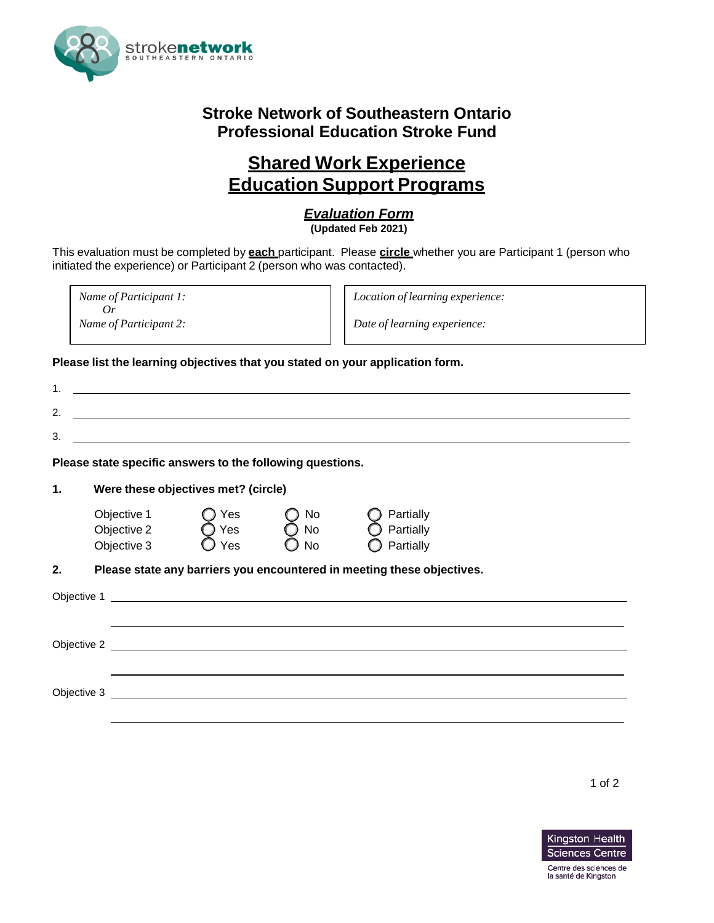

## **Stroke Network of Southeastern Ontario Professional Education Stroke Fund**

## **Shared Work Experience Education Support Programs**

## *Evaluation Form*

**(Updated Feb 2021)**

This evaluation must be completed by **each** participant. Please **circle** whether you are Participant 1 (person who initiated the experience) or Participant 2 (person who was contacted).

*Name of Participant 1: Or Name of Participant 2:*

*Location of learning experience:*

*Date of learning experience:*

**Please list the learning objectives that you stated on your application form.**

| 1.            |                                                                  |                                      |                                      |                                                                        |  |  |
|---------------|------------------------------------------------------------------|--------------------------------------|--------------------------------------|------------------------------------------------------------------------|--|--|
| 2.            | <u> 1989 - Johann John Stone, meilich aus der Stone († 1989)</u> |                                      |                                      |                                                                        |  |  |
| 3.            |                                                                  |                                      |                                      |                                                                        |  |  |
|               | Please state specific answers to the following questions.        |                                      |                                      |                                                                        |  |  |
| $\mathbf 1$ . |                                                                  | Were these objectives met? (circle)  |                                      |                                                                        |  |  |
|               | Objective 1<br>Objective 2<br>Objective 3                        | Yes<br>$Q$ Yes $\overline{Q}$<br>Yes | No<br>$\bigcirc$ No<br>$\bigcirc$ No | Partially<br>Partially<br>Partially                                    |  |  |
| 2.            |                                                                  |                                      |                                      | Please state any barriers you encountered in meeting these objectives. |  |  |
|               |                                                                  |                                      |                                      |                                                                        |  |  |
|               |                                                                  |                                      |                                      |                                                                        |  |  |
|               |                                                                  |                                      |                                      |                                                                        |  |  |
|               |                                                                  |                                      |                                      |                                                                        |  |  |
|               |                                                                  |                                      |                                      |                                                                        |  |  |
|               |                                                                  |                                      |                                      |                                                                        |  |  |

1 of 2



la santé de Kingston